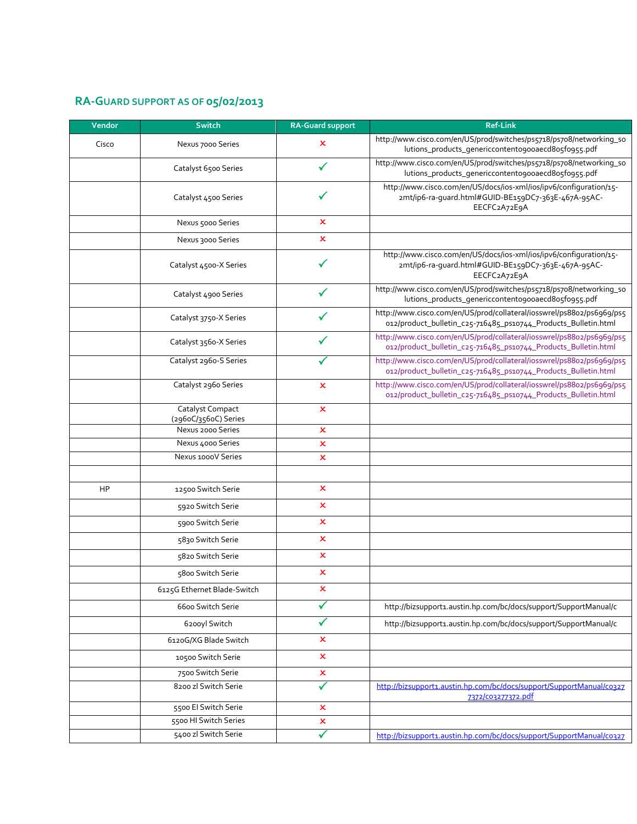## **RA-GUARD SUPPORT AS OF 05/02/2013**

| Vendor | <b>Switch</b>                             | <b>RA-Guard support</b> | <b>Ref-Link</b>                                                                                                                           |
|--------|-------------------------------------------|-------------------------|-------------------------------------------------------------------------------------------------------------------------------------------|
| Cisco  | Nexus 7000 Series                         | x                       | http://www.cisco.com/en/US/prod/switches/ps5718/ps708/networking_so<br>lutions_products_genericcontento9ooaecd8o5fo955.pdf                |
|        | Catalyst 6500 Series                      | $\checkmark$            | http://www.cisco.com/en/US/prod/switches/ps5718/ps708/networking_so<br>lutions_products_genericcontento9ooaecd8o5fo955.pdf                |
|        | Catalyst 4500 Series                      |                         | http://www.cisco.com/en/US/docs/ios-xml/ios/ipv6/configuration/15-<br>2mt/ip6-ra-guard.html#GUID-BE159DC7-363E-467A-95AC-<br>EECFC2A72E9A |
|        | Nexus 5000 Series                         | x                       |                                                                                                                                           |
|        | Nexus 3000 Series                         | x                       |                                                                                                                                           |
|        | Catalyst 4500-X Series                    |                         | http://www.cisco.com/en/US/docs/ios-xml/ios/ipv6/configuration/15-<br>2mt/ip6-ra-quard.html#GUID-BE159DC7-363E-467A-95AC-<br>EECFC2A72E9A |
|        | Catalyst 4900 Series                      |                         | http://www.cisco.com/en/US/prod/switches/ps5718/ps708/networking_so<br>lutions_products_genericcontento9ooaecd8o5fo955.pdf                |
|        | Catalyst 3750-X Series                    |                         | http://www.cisco.com/en/US/prod/collateral/iosswrel/ps88o2/ps6969/ps5<br>012/product_bulletin_c25-716485_ps10744_Products_Bulletin.html   |
|        | Catalyst 3560-X Series                    |                         | http://www.cisco.com/en/US/prod/collateral/iosswrel/ps88o2/ps6969/ps5<br>012/product_bulletin_c25-716485_ps10744_Products_Bulletin.html   |
|        | Catalyst 2960-S Series                    |                         | http://www.cisco.com/en/US/prod/collateral/iosswrel/ps88o2/ps6969/ps5<br>012/product_bulletin_c25-716485_ps10744_Products_Bulletin.html   |
|        | Catalyst 2960 Series                      | ×                       | http://www.cisco.com/en/US/prod/collateral/iosswrel/ps88o2/ps6969/ps5<br>012/product_bulletin_c25-716485_ps10744_Products_Bulletin.html   |
|        | Catalyst Compact                          | x                       |                                                                                                                                           |
|        | (296oC/356oC) Series<br>Nexus 2000 Series | $\pmb{\times}$          |                                                                                                                                           |
|        | Nexus 4000 Series                         | x                       |                                                                                                                                           |
|        | Nexus 1000V Series                        | x                       |                                                                                                                                           |
|        |                                           |                         |                                                                                                                                           |
| HP     | 12500 Switch Serie                        | ×                       |                                                                                                                                           |
|        | 5920 Switch Serie                         | x                       |                                                                                                                                           |
|        | 5900 Switch Serie                         | x                       |                                                                                                                                           |
|        | 5830 Switch Serie                         | x                       |                                                                                                                                           |
|        | 5820 Switch Serie                         | $\pmb{\times}$          |                                                                                                                                           |
|        | 5800 Switch Serie                         | $\mathbf x$             |                                                                                                                                           |
|        | 6125G Ethernet Blade-Switch               | x                       |                                                                                                                                           |
|        | 6600 Switch Serie                         |                         | http://bizsupport1.austin.hp.com/bc/docs/support/SupportManual/c                                                                          |
|        | 6200yl Switch                             | ✓                       | http://bizsupport1.austin.hp.com/bc/docs/support/SupportManual/c                                                                          |
|        | 6120G/XG Blade Switch                     | x                       |                                                                                                                                           |
|        | 10500 Switch Serie                        | $\pmb{\times}$          |                                                                                                                                           |
|        | 7500 Switch Serie                         | ×                       |                                                                                                                                           |
|        | 8200 zl Switch Serie                      |                         | http://bizsupport1.austin.hp.com/bc/docs/support/SupportManual/co327                                                                      |
|        | 5500 El Switch Serie                      | x                       | 7372/C03277372.pdf                                                                                                                        |
|        | 5500 HI Switch Series                     | x                       |                                                                                                                                           |
|        | 5400 zl Switch Serie                      | $\checkmark$            | http://bizsupport1.austin.hp.com/bc/docs/support/SupportManual/co327                                                                      |
|        |                                           |                         |                                                                                                                                           |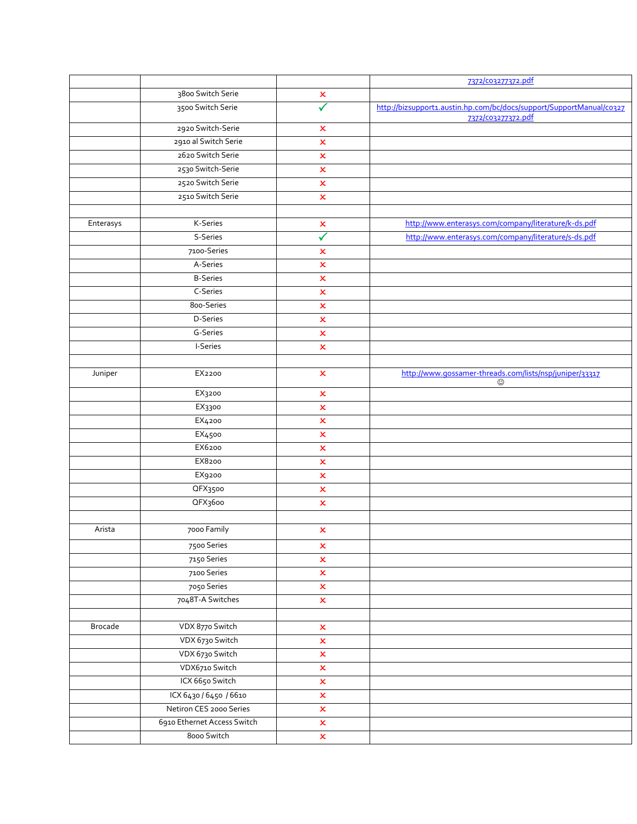|           |                             |                           | 7372/003277372.pdf                                                    |
|-----------|-----------------------------|---------------------------|-----------------------------------------------------------------------|
|           | 3800 Switch Serie           | $\pmb{\times}$            |                                                                       |
|           | 3500 Switch Serie           | $\checkmark$              | http://bizsupport1.austin.hp.com/bc/docs/support/SupportManual/co327  |
|           |                             |                           | 7372/c03277372.pdf                                                    |
|           | 2920 Switch-Serie           | $\pmb{\times}$            |                                                                       |
|           | 2910 al Switch Serie        | $\mathbf x$               |                                                                       |
|           | 2620 Switch Serie           | $\pmb{\times}$            |                                                                       |
|           | 2530 Switch-Serie           | $\pmb{\times}$            |                                                                       |
|           | 2520 Switch Serie           | $\pmb{\times}$            |                                                                       |
|           | 2510 Switch Serie           | $\boldsymbol{\mathsf{x}}$ |                                                                       |
|           |                             |                           |                                                                       |
| Enterasys | K-Series                    | $\pmb{\times}$            | http://www.enterasys.com/company/literature/k-ds.pdf                  |
|           | S-Series                    | $\blacklozenge$           | http://www.enterasys.com/company/literature/s-ds.pdf                  |
|           | 7100-Series                 | $\mathbf x$               |                                                                       |
|           | A-Series                    | $\pmb{\times}$            |                                                                       |
|           | <b>B-Series</b>             | $\pmb{\times}$            |                                                                       |
|           | C-Series                    | ×                         |                                                                       |
|           | 800-Series                  | $\pmb{\times}$            |                                                                       |
|           | D-Series                    | $\pmb{\times}$            |                                                                       |
|           | G-Series                    | $\pmb{\times}$            |                                                                       |
|           | I-Series                    | $\boldsymbol{\mathsf{x}}$ |                                                                       |
|           |                             |                           |                                                                       |
| Juniper   | EX2200                      | ×                         | http://www.qossamer-threads.com/lists/nsp/juniper/33317<br>$_{\odot}$ |
|           | EX3200                      | ×                         |                                                                       |
|           | EX3300                      | $\pmb{\times}$            |                                                                       |
|           | EX4200                      | $\pmb{\times}$            |                                                                       |
|           | EX4500                      | $\pmb{\times}$            |                                                                       |
|           | EX6200                      | $\pmb{\times}$            |                                                                       |
|           | EX8200                      | $\mathbf x$               |                                                                       |
|           | EX9200                      | $\mathsf{x}$              |                                                                       |
|           | QFX3500                     | $\mathbf x$               |                                                                       |
|           | QFX3600                     | $\pmb{\times}$            |                                                                       |
|           |                             |                           |                                                                       |
| Arista    | 7000 Family                 | $\pmb{\times}$            |                                                                       |
|           | 7500 Series                 | $\pmb{\times}$            |                                                                       |
|           | 7150 Series                 | $\pmb{\times}$            |                                                                       |
|           | 7100 Series                 | $\pmb{\times}$            |                                                                       |
|           | 7050 Series                 | $\pmb{\times}$            |                                                                       |
|           | 7048T-A Switches            | $\pmb{\times}$            |                                                                       |
|           |                             |                           |                                                                       |
| Brocade   | VDX 8770 Switch             | $\pmb{\times}$            |                                                                       |
|           | VDX 6730 Switch             | $\pmb{\times}$            |                                                                       |
|           | VDX 6730 Switch             | $\pmb{\times}$            |                                                                       |
|           | VDX6710 Switch              | $\pmb{\times}$            |                                                                       |
|           | ICX 6650 Switch             | $\pmb{\times}$            |                                                                       |
|           | ICX 6430 / 6450 / 6610      | $\pmb{\times}$            |                                                                       |
|           | Netiron CES 2000 Series     | $\pmb{\times}$            |                                                                       |
|           | 6910 Ethernet Access Switch | $\pmb{\times}$            |                                                                       |
|           | 8000 Switch                 | $\pmb{\times}$            |                                                                       |